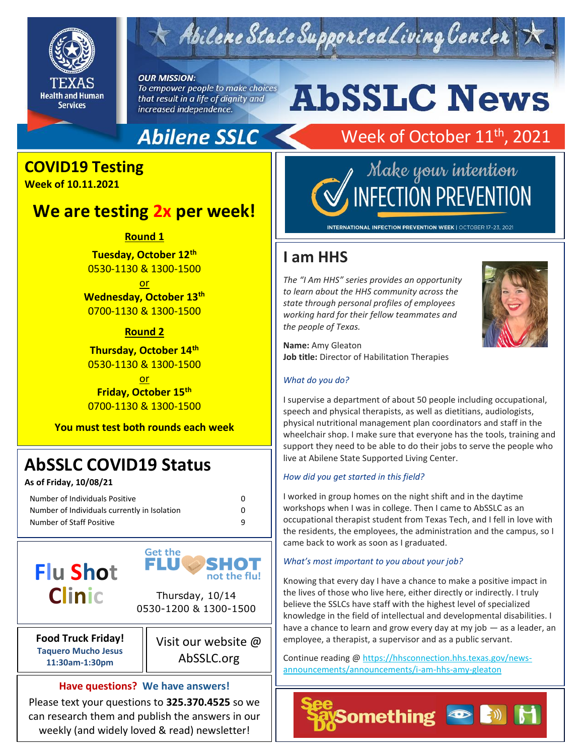

## $\leq$  Abilene State Supported Living Center

**OUR MISSION:** To empower people to make choices that result in a life of dignity and increased independence.

### **Abilene SSLC**

### **COVID19 Testing**

**Week of 10.11.2021**

### **We are testing 2x per week!**

**Round 1**

**Tuesday, October 12th** 0530-1130 & 1300-1500

or **Wednesday, October 13th** 0700-1130 & 1300-1500

#### **Round 2**

**Thursday, October 14th** 0530-1130 & 1300-1500

or **Friday, October 15th** 0700-1130 & 1300-1500

**You must test both rounds each week**

### **AbSSLC COVID19 Status**

**As of Friday, 10/08/21**

| Number of Individuals Positive               |   |
|----------------------------------------------|---|
| Number of Individuals currently in Isolation | 0 |
| Number of Staff Positive                     | q |



**Food Truck Friday! Taquero Mucho Jesus 11:30am-1:30pm**

Visit our website @ AbSSLC.org

SHOT not the flu!

#### **Have questions? We have answers!**

Please text your questions to **325.370.4525** so we can research them and publish the answers in our weekly (and widely loved & read) newsletter!

# **AbSSLC News**

### Week of October 11<sup>th</sup>, 2021



INTERNATIONAL INFECTION PREVENTION WEEK | OCTOBER 17-23, 2021

### **I am HHS**

*The "I Am HHS" series provides an opportunity to learn about the HHS community across the state through personal profiles of employees working hard for their fellow teammates and the people of Texas.* 



**Name:** Amy Gleaton **Job title:** Director of Habilitation Therapies

#### *What do you do?*

I supervise a department of about 50 people including occupational, speech and physical therapists, as well as dietitians, audiologists, physical nutritional management plan coordinators and staff in the wheelchair shop. I make sure that everyone has the tools, training and support they need to be able to do their jobs to serve the people who live at Abilene State Supported Living Center.

#### *How did you get started in this field?*

I worked in group homes on the night shift and in the daytime workshops when I was in college. Then I came to AbSSLC as an occupational therapist student from Texas Tech, and I fell in love with the residents, the employees, the administration and the campus, so I came back to work as soon as I graduated.

#### *What's most important to you about your job?*

Knowing that every day I have a chance to make a positive impact in the lives of those who live here, either directly or indirectly. I truly believe the SSLCs have staff with the highest level of specialized knowledge in the field of intellectual and developmental disabilities. I have a chance to learn and grow every day at my job — as a leader, an employee, a therapist, a supervisor and as a public servant.

Continue reading [@ https://hhsconnection.hhs.texas.gov/news](https://hhsconnection.hhs.texas.gov/news-announcements/announcements/i-am-hhs-amy-gleaton)[announcements/announcements/i-am-hhs-amy-gleaton](https://hhsconnection.hhs.texas.gov/news-announcements/announcements/i-am-hhs-amy-gleaton)

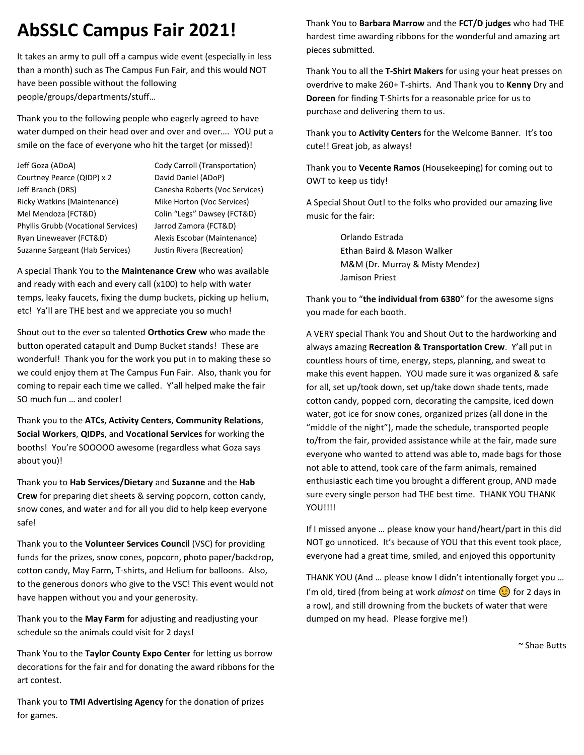### **AbSSLC Campus Fair 2021!**

It takes an army to pull off a campus wide event (especially in less than a month) such as The Campus Fun Fair, and this would NOT have been possible without the following people/groups/departments/stuff…

Thank you to the following people who eagerly agreed to have water dumped on their head over and over and over…. YOU put a smile on the face of everyone who hit the target (or missed)!

| Jeff Goza (ADoA)                           |
|--------------------------------------------|
| Courtney Pearce (QIDP) x 2                 |
| Jeff Branch (DRS)                          |
| <b>Ricky Watkins (Maintenance)</b>         |
| Mel Mendoza (FCT&D)                        |
| <b>Phyllis Grubb (Vocational Services)</b> |
| Ryan Lineweaver (FCT&D)                    |
| Suzanne Sargeant (Hab Services)            |

Cody Carroll (Transportation) David Daniel (ADoP) Canesha Roberts (Voc Services) **Mike Horton (Voc Services)** Colin "Legs" Dawsey (FCT&D) Jarrod Zamora (FCT&D) Alexis Escobar (Maintenance) Justin Rivera (Recreation)

A special Thank You to the **Maintenance Crew** who was available and ready with each and every call (x100) to help with water temps, leaky faucets, fixing the dump buckets, picking up helium, etc! Ya'll are THE best and we appreciate you so much!

Shout out to the ever so talented **Orthotics Crew** who made the button operated catapult and Dump Bucket stands! These are wonderful! Thank you for the work you put in to making these so we could enjoy them at The Campus Fun Fair. Also, thank you for coming to repair each time we called. Y'all helped make the fair SO much fun … and cooler!

Thank you to the **ATCs**, **Activity Centers**, **Community Relations**, **Social Workers**, **QIDPs**, and **Vocational Services** for working the booths! You're SOOOOO awesome (regardless what Goza says about you)!

Thank you to **Hab Services/Dietary** and **Suzanne** and the **Hab Crew** for preparing diet sheets & serving popcorn, cotton candy, snow cones, and water and for all you did to help keep everyone safe!

Thank you to the **Volunteer Services Council** (VSC) for providing funds for the prizes, snow cones, popcorn, photo paper/backdrop, cotton candy, May Farm, T-shirts, and Helium for balloons. Also, to the generous donors who give to the VSC! This event would not have happen without you and your generosity.

Thank you to the **May Farm** for adjusting and readjusting your schedule so the animals could visit for 2 days!

Thank You to the **Taylor County Expo Center** for letting us borrow decorations for the fair and for donating the award ribbons for the art contest.

Thank you to **TMI Advertising Agency** for the donation of prizes for games.

Thank You to **Barbara Marrow** and the **FCT/D judges** who had THE hardest time awarding ribbons for the wonderful and amazing art pieces submitted.

Thank You to all the **T-Shirt Makers** for using your heat presses on overdrive to make 260+ T-shirts. And Thank you to **Kenny** Dry and **Doreen** for finding T-Shirts for a reasonable price for us to purchase and delivering them to us.

Thank you to **Activity Centers** for the Welcome Banner. It's too cute!! Great job, as always!

Thank you to **Vecente Ramos** (Housekeeping) for coming out to OWT to keep us tidy!

A Special Shout Out! to the folks who provided our amazing live music for the fair:

> Orlando Estrada Ethan Baird & Mason Walker M&M (Dr. Murray & Misty Mendez) Jamison Priest

Thank you to "**the individual from 6380**" for the awesome signs you made for each booth.

A VERY special Thank You and Shout Out to the hardworking and always amazing **Recreation & Transportation Crew**. Y'all put in countless hours of time, energy, steps, planning, and sweat to make this event happen. YOU made sure it was organized & safe for all, set up/took down, set up/take down shade tents, made cotton candy, popped corn, decorating the campsite, iced down water, got ice for snow cones, organized prizes (all done in the "middle of the night"), made the schedule, transported people to/from the fair, provided assistance while at the fair, made sure everyone who wanted to attend was able to, made bags for those not able to attend, took care of the farm animals, remained enthusiastic each time you brought a different group, AND made sure every single person had THE best time. THANK YOU THANK YOU!!!!

If I missed anyone … please know your hand/heart/part in this did NOT go unnoticed. It's because of YOU that this event took place, everyone had a great time, smiled, and enjoyed this opportunity

THANK YOU (And … please know I didn't intentionally forget you … I'm old, tired (from being at work *almost* on time  $\odot$  for 2 days in a row), and still drowning from the buckets of water that were dumped on my head. Please forgive me!)

~ Shae Butts